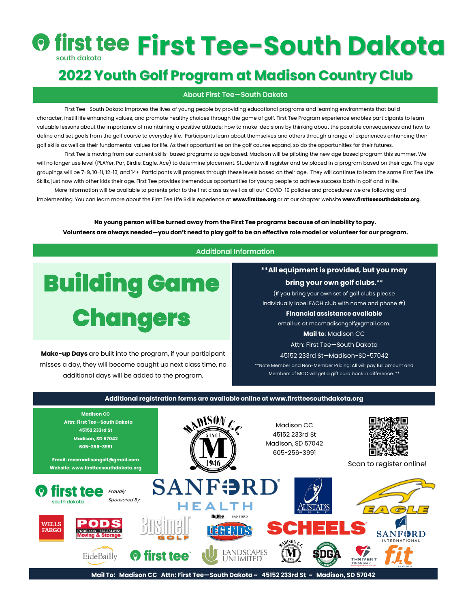# *<b>O first Tee-South Dakota*

## **2022 Youth Golf Program at Madison Country Club**

### About First Tee—South Dakota

First Tee—South Dakota improves the lives of young people by providing educational programs and learning environments that build character, instill life enhancing values, and promote healthy choices through the game of golf. First Tee Program experience enables participants to learn valuable lessons about the importance of maintaining a positive attitude; how to make decisions by thinking about the possible consequences and how to define and set goals from the golf course to everyday life. Participants learn about themselves and others through a range of experiences enhancing their golf skills as well as their fundamental values for life. As their opportunities on the golf course expand, so do the opportunities for their futures.

First Tee is moving from our current skills-based programs to age based. Madison will be piloting the new age based program this summer. We will no longer use level (PLAYer, Par, Birdie, Eagle, Ace) to determine placement. Students will register and be placed in a program based on their age. The age groupings will be 7-9, 10-11, 12-13, and 14+. Participants will progress through these levels based on their age. They will continue to learn the same First Tee Life Skills, just now with other kids their age. First Tee provides tremendous opportunities for young people to achieve success both in golf and in life.

 More information will be available to parents prior to the first class as well as all our COVID-19 policies and procedures we are following and implementing. You can learn more about the First Tee Life Skills experience at **www.firsttee.org** or at our chapter website **www.firstteesouthdakota.org**.

**No young person will be turned away from the First Tee programs because of an inability to pay. Volunteers are always needed—you don't need to play golf to be an effective role model or volunteer for our program.**

### Additional Information



**Make-up Days** are built into the program, if your participant misses a day, they will become caught up next class time, no additional days will be added to the program.

**\*\*All equipment is provided, but you may** 

### **bring your own golf clubs**.\*\*

(If you bring your own set of golf clubs please individually label EACH club with name and phone #)

### **Financial assistance available**

email us at mccmadisongolf@gmail.com.

**Mail to**: Madison CC

Attn: First Tee—South Dakota

45152 233rd St—Madison-SD-57042

\*\*Note Member and Non-Member Pricing: All will pay full amount and Members of MCC will get a gift card back in difference. \*\*

### **Additional registration forms are available online at www.firstteesouthdakota.org Madison CC**  $\mathcal{L}$  **Attn: First Tee—South Dakota**  Madison CC **45152 233rd St** 45152 233rd St **Madison, SD 57042**  Madison, SD 57042 **605-256-3991** 605-256-3991 **Email: mccmadisongolf@gmail.com** Scan to register online! **Website: www.firstteesouthdakota.org SANFORI** Proudly Sponsored By: south dakota **IEALTH Hulloo SANFORD** PADS **WELLS FARGO** PODS.com 605-274-8151 11811 **SANFORD ANDSCAPES** EideBailly **O** first tee **UNLIMITED** THRIVENT **Mail To: Madison CC Attn: First Tee—South Dakota ~ 45152 233rd St ~ Madison, SD 57042**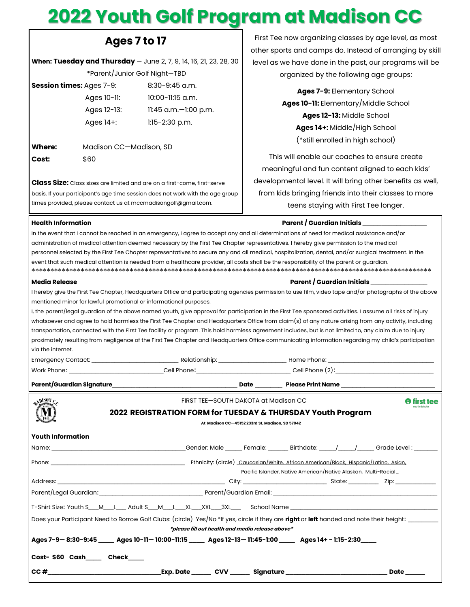## 2022 Youth Golf Program at Madison CC

### Ages 7 to 17

When: Tuesday and Thursday - June 2, 7, 9, 14, 16, 21, 23, 28, 30

\*Parent/Junior Golf Night-TBD

| <b>Session times:</b> Ages 7-9: | $8:30-9:45$ a.m.          |
|---------------------------------|---------------------------|
| Ages $10$ -11:                  | $10:00-11:15$ a.m.        |
| Ages 12-13:                     | $11:45$ a.m. $-1:00$ p.m. |
| Ages $14+$ :                    | $1:15-2:30$ p.m.          |
|                                 |                           |

Where: Madison CC-Madison, SD Cost: \$60

Class Size: Class sizes are limited and are on a first-come, first-serve basis. If your participant's age time session does not work with the age group times provided, please contact us at mccmadisongolf@gmail.com.

First Tee now organizing classes by age level, as most other sports and camps do. Instead of arranging by skill level as we have done in the past, our programs will be organized by the following age groups:

> Ages 7-9: Elementary School Ages 10-11: Elementary/Middle School Ages 12-13: Middle School Ages 14+: Middle/High School (\*still enrolled in high school)

This will enable our coaches to ensure create meaningful and fun content aligned to each kids' developmental level. It will bring other benefits as well, from kids bringing friends into their classes to more teens staying with First Tee longer.

### Health Information

### Parent / Guardian Initials

| In the event that I cannot be reached in an emergency, I agree to accept any and all determinations of need for medical assistance and/or |                                                                                                                                                            |
|-------------------------------------------------------------------------------------------------------------------------------------------|------------------------------------------------------------------------------------------------------------------------------------------------------------|
| administration of medical attention deemed necessary by the First Tee Chapter representatives. I hereby give permission to the medical    |                                                                                                                                                            |
|                                                                                                                                           | personnel selected by the First Tee Chapter representatives to secure any and all medical, hospitalization, dental, and/or surgical treatment. In the      |
| event that such medical attention is needed from a healthcare provider, all costs shall be the responsibility of the parent or guardian.  |                                                                                                                                                            |
| <b>Media Release</b>                                                                                                                      | Parent / Guardian Initials                                                                                                                                 |
|                                                                                                                                           | I hereby give the First Tee Chapter, Headquarters Office and participating agencies permission to use film, video tape and/or photographs of the above     |
| mentioned minor for lawful promotional or informational purposes.                                                                         |                                                                                                                                                            |
|                                                                                                                                           | I, the parent/legal guardian of the above named youth, give approval for participation in the First Tee sponsored activities. I assume all risks of injury |
|                                                                                                                                           | whatsoever and agree to hold harmless the First Tee Chapter and Headquarters Office from claim(s) of any nature arising from any activity, including       |
|                                                                                                                                           | transportation, connected with the First Tee facility or program. This hold harmless agreement includes, but is not limited to, any claim due to injury    |
|                                                                                                                                           | proximately resulting from negligence of the First Tee Chapter and Headquarters Office communicating information regarding my child's participation        |
| via the internet.                                                                                                                         |                                                                                                                                                            |
|                                                                                                                                           |                                                                                                                                                            |

| Emergency Contact:        | Relationship: | Home Phone:       |  |
|---------------------------|---------------|-------------------|--|
| Work Phone:               | Cell Phone:   | Cell Phone (2):   |  |
| Parent/Guardian Signature | Date          | Please Print Name |  |

| MSDV                                                                                                                                             |                                                             | FIRST TEE-SOUTH DAKOTA at Madison CC             |                                                                            | irst tee   |
|--------------------------------------------------------------------------------------------------------------------------------------------------|-------------------------------------------------------------|--------------------------------------------------|----------------------------------------------------------------------------|------------|
|                                                                                                                                                  | 2022 REGISTRATION FORM for TUESDAY & THURSDAY Youth Program |                                                  |                                                                            |            |
|                                                                                                                                                  |                                                             | At Madison CC-45152 233rd St, Madison, SD 57042  |                                                                            |            |
| <b>Youth Information</b>                                                                                                                         |                                                             |                                                  |                                                                            |            |
|                                                                                                                                                  |                                                             |                                                  |                                                                            |            |
|                                                                                                                                                  |                                                             |                                                  |                                                                            |            |
|                                                                                                                                                  |                                                             |                                                  | Pacific Islander, Native American/Native Alaskan, Multi-Racial_            |            |
|                                                                                                                                                  |                                                             |                                                  |                                                                            |            |
|                                                                                                                                                  |                                                             |                                                  |                                                                            |            |
| T-Shirt Size: Youth S__M__L___ Adult S__M__L__XL___XL___3XL___ School Name ___________________________________                                   |                                                             |                                                  |                                                                            |            |
| Does your Participant Need to Borrow Golf Clubs: (circle) Yes/No *If yes, circle if they are right or left handed and note their height: _______ |                                                             |                                                  |                                                                            |            |
|                                                                                                                                                  |                                                             | *please fill out health and media release above* |                                                                            |            |
| Ages 7-9-8:30-9:45 _____ Ages 10-11-10:00-11:15 _____ Ages 12-13-11:45-1:00 _____ Ages 14+-1:15-2:30 ____                                        |                                                             |                                                  |                                                                            |            |
| Cost-\$60 Cash Check                                                                                                                             |                                                             |                                                  |                                                                            |            |
| $\mathsf{CC}$ #                                                                                                                                  |                                                             |                                                  | _Exp. Date _______ CVV _______ Signature _________________________________ | Date _____ |